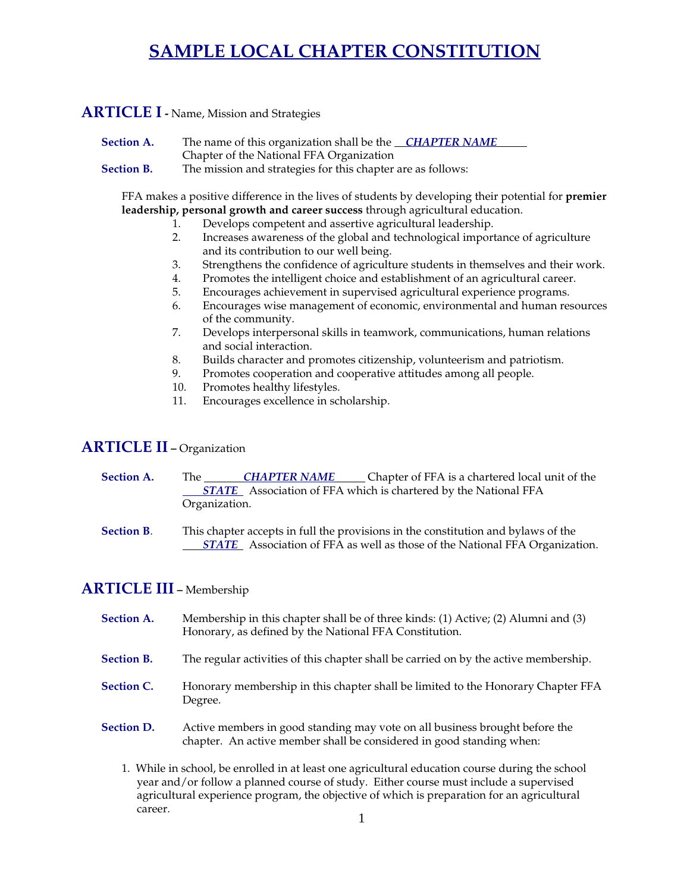# **SAMPLE LOCAL CHAPTER CONSTITUTION**

#### **ARTICLE I -** Name, Mission and Strategies

- **Section A.** The name of this organization shall be the *CHAPTER NAME* Chapter of the National FFA Organization
- **Section B.** The mission and strategies for this chapter are as follows:

FFA makes a positive difference in the lives of students by developing their potential for **premier leadership, personal growth and career success** through agricultural education.

- 1. Develops competent and assertive agricultural leadership.
- 2. Increases awareness of the global and technological importance of agriculture and its contribution to our well being.
- 3. Strengthens the confidence of agriculture students in themselves and their work.
- 4. Promotes the intelligent choice and establishment of an agricultural career.
- 5. Encourages achievement in supervised agricultural experience programs.
- 6. Encourages wise management of economic, environmental and human resources of the community.
- 7. Develops interpersonal skills in teamwork, communications, human relations and social interaction.
- 8. Builds character and promotes citizenship, volunteerism and patriotism.
- 9. Promotes cooperation and cooperative attitudes among all people.
- 10. Promotes healthy lifestyles.
- 11. Encourages excellence in scholarship.

#### **ARTICLE II - Organization**

- **Section A.** The **CHAPTER NAME** Chapter of FFA is a chartered local unit of the **STATE** Association of FFA which is chartered by the National FFA Organization.
- **Section B**. This chapter accepts in full the provisions in the constitution and bylaws of the *STATE* Association of FFA as well as those of the National FFA Organization.

## **ARTICLE III –** Membership

- **Section A.** Membership in this chapter shall be of three kinds: (1) Active; (2) Alumni and (3) Honorary, as defined by the National FFA Constitution.
- **Section B.** The regular activities of this chapter shall be carried on by the active membership.
- **Section C.** Honorary membership in this chapter shall be limited to the Honorary Chapter FFA Degree.
- **Section D.** Active members in good standing may vote on all business brought before the chapter. An active member shall be considered in good standing when:
	- 1. While in school, be enrolled in at least one agricultural education course during the school year and/or follow a planned course of study. Either course must include a supervised agricultural experience program, the objective of which is preparation for an agricultural career.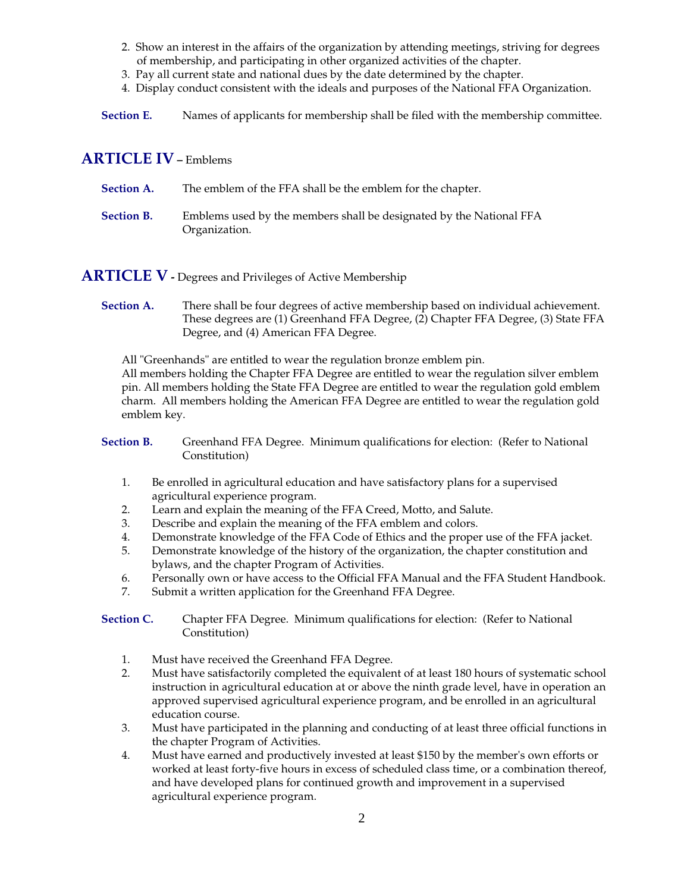- 2. Show an interest in the affairs of the organization by attending meetings, striving for degrees of membership, and participating in other organized activities of the chapter.
- 3. Pay all current state and national dues by the date determined by the chapter.
- 4. Display conduct consistent with the ideals and purposes of the National FFA Organization.
- **Section E.** Names of applicants for membership shall be filed with the membership committee.

#### **ARTICLE IV –** Emblems

| <b>Section A.</b> | The emblem of the FFA shall be the emblem for the chapter.                           |
|-------------------|--------------------------------------------------------------------------------------|
| <b>Section B.</b> | Emblems used by the members shall be designated by the National FFA<br>Organization. |

**ARTICLE V** - Degrees and Privileges of Active Membership

**Section A.** There shall be four degrees of active membership based on individual achievement. These degrees are (1) Greenhand FFA Degree, (2) Chapter FFA Degree, (3) State FFA Degree, and (4) American FFA Degree.

 All "Greenhands" are entitled to wear the regulation bronze emblem pin. All members holding the Chapter FFA Degree are entitled to wear the regulation silver emblem pin. All members holding the State FFA Degree are entitled to wear the regulation gold emblem charm. All members holding the American FFA Degree are entitled to wear the regulation gold emblem key.

**Section B.** Greenhand FFA Degree. Minimum qualifications for election: (Refer to National Constitution)

- 1. Be enrolled in agricultural education and have satisfactory plans for a supervised agricultural experience program.
- 2. Learn and explain the meaning of the FFA Creed, Motto, and Salute.
- 3. Describe and explain the meaning of the FFA emblem and colors.
- 4. Demonstrate knowledge of the FFA Code of Ethics and the proper use of the FFA jacket.<br>5. Demonstrate knowledge of the history of the organization, the chapter constitution and
- Demonstrate knowledge of the history of the organization, the chapter constitution and bylaws, and the chapter Program of Activities.
- 6. Personally own or have access to the Official FFA Manual and the FFA Student Handbook.
- 7. Submit a written application for the Greenhand FFA Degree.

**Section C.** Chapter FFA Degree. Minimum qualifications for election: (Refer to National Constitution)

- 1. Must have received the Greenhand FFA Degree.
- 2. Must have satisfactorily completed the equivalent of at least 180 hours of systematic school instruction in agricultural education at or above the ninth grade level, have in operation an approved supervised agricultural experience program, and be enrolled in an agricultural education course.
- 3. Must have participated in the planning and conducting of at least three official functions in the chapter Program of Activities.
- 4. Must have earned and productively invested at least \$150 by the member's own efforts or worked at least forty-five hours in excess of scheduled class time, or a combination thereof, and have developed plans for continued growth and improvement in a supervised agricultural experience program.